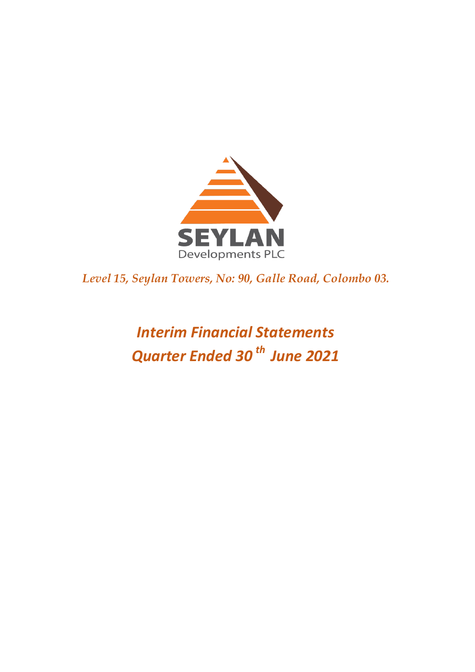

*Level 15, Seylan Towers, No: 90, Galle Road, Colombo 03.* 

# *Interim Financial Statements Quarter Ended 30 th June 2021*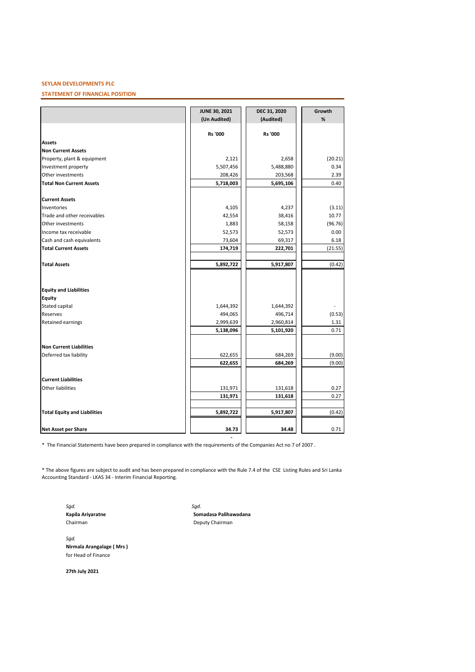#### **STATEMENT OF FINANCIAL POSITION**

|                                     | JUNE 30, 2021<br>(Un Audited) | DEC 31, 2020<br>(Audited) | Growth<br>% |
|-------------------------------------|-------------------------------|---------------------------|-------------|
|                                     |                               |                           |             |
|                                     | <b>Rs '000</b>                | <b>Rs '000</b>            |             |
| <b>Assets</b>                       |                               |                           |             |
| <b>Non Current Assets</b>           |                               |                           |             |
| Property, plant & equipment         | 2,121                         | 2,658                     | (20.21)     |
| Investment property                 | 5,507,456                     | 5,488,880                 | 0.34        |
| Other investments                   | 208,426                       | 203,568                   | 2.39        |
| <b>Total Non Current Assets</b>     | 5,718,003                     | 5,695,106                 | 0.40        |
| <b>Current Assets</b>               |                               |                           |             |
| Inventories                         | 4,105                         | 4,237                     | (3.11)      |
| Trade and other receivables         | 42,554                        | 38,416                    | 10.77       |
| Other investments                   | 1,883                         | 58,158                    | (96.76)     |
| Income tax receivable               | 52,573                        | 52,573                    | 0.00        |
| Cash and cash equivalents           | 73,604                        | 69,317                    | 6.18        |
| <b>Total Current Assets</b>         | 174,719                       | 222,701                   | (21.55)     |
| <b>Total Assets</b>                 | 5,892,722                     | 5,917,807                 | (0.42)      |
| <b>Equity and Liabilities</b>       |                               |                           |             |
| <b>Equity</b>                       |                               |                           |             |
| Stated capital                      | 1,644,392                     | 1,644,392                 |             |
| Reserves                            | 494,065                       | 496,714                   | (0.53)      |
| <b>Retained earnings</b>            | 2,999,639                     | 2,960,814                 | 1.31        |
|                                     | 5,138,096                     | 5,101,920                 | 0.71        |
| <b>Non Current Liabilities</b>      |                               |                           |             |
| Deferred tax liability              | 622,655                       | 684,269                   | (9.00)      |
|                                     | 622,655                       | 684,269                   | (9.00)      |
| <b>Current Liabilities</b>          |                               |                           |             |
| <b>Other liabilities</b>            | 131,971                       | 131,618                   | 0.27        |
|                                     | 131,971                       | 131,618                   | 0.27        |
| <b>Total Equity and Liabilities</b> | 5,892,722                     | 5,917,807                 | (0.42)      |
|                                     |                               |                           |             |
| <b>Net Asset per Share</b>          | 34.73                         | 34.48                     | 0.71        |

\* The Financial Statements have been prepared in compliance with the requirements of the Companies Act no 7 of 2007 .

\* The above figures are subject to audit and has been prepared in compliance with the Rule 7.4 of the CSE Listing Rules and Sri Lanka Accounting Standard - LKAS 34 - Interim Financial Reporting.

*Sgd. Sgd.*

**Kapila Ariyaratne Somadasa Palihawadana**<br>Chairman **Somadasa Palihawadana** Deputy Chairman

 **-**

*Sgd.* **Nirmala Arangalage ( Mrs )** for Head of Finance

**27th July 2021**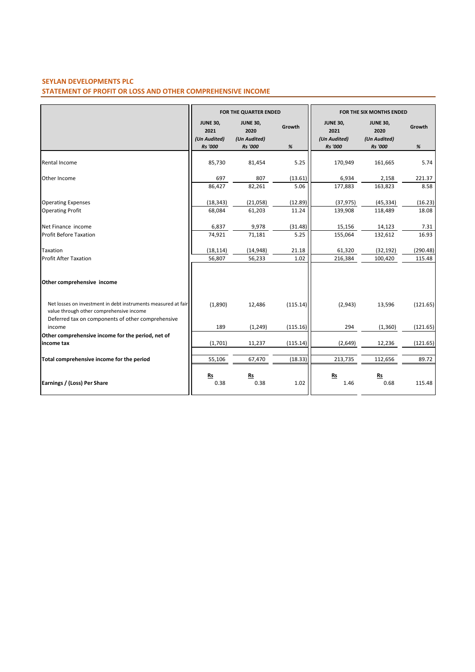# **STATEMENT OF PROFIT OR LOSS AND OTHER COMPREHENSIVE INCOME**

|                                                                                                           |                                         | FOR THE QUARTER ENDED                   |          |                                         | FOR THE SIX MONTHS ENDED                |          |
|-----------------------------------------------------------------------------------------------------------|-----------------------------------------|-----------------------------------------|----------|-----------------------------------------|-----------------------------------------|----------|
|                                                                                                           | <b>JUNE 30,</b><br>2021<br>(Un Audited) | <b>JUNE 30,</b><br>2020<br>(Un Audited) | Growth   | <b>JUNE 30,</b><br>2021<br>(Un Audited) | <b>JUNE 30,</b><br>2020<br>(Un Audited) | Growth   |
|                                                                                                           | <b>Rs</b> '000                          | <b>Rs</b> '000                          | $\%$     | <b>Rs</b> '000                          | <b>Rs</b> '000                          | $\%$     |
| Rental Income                                                                                             | 85,730                                  | 81,454                                  | 5.25     | 170,949                                 | 161,665                                 | 5.74     |
| Other Income                                                                                              | 697                                     | 807                                     | (13.61)  | 6,934                                   | 2,158                                   | 221.37   |
|                                                                                                           | 86,427                                  | 82,261                                  | 5.06     | 177,883                                 | 163,823                                 | 8.58     |
| <b>Operating Expenses</b>                                                                                 | (18, 343)                               | (21,058)                                | (12.89)  | (37, 975)                               | (45, 334)                               | (16.23)  |
| <b>Operating Profit</b>                                                                                   | 68,084                                  | 61,203                                  | 11.24    | 139,908                                 | 118,489                                 | 18.08    |
| Net Finance income                                                                                        | 6,837                                   | 9,978                                   | (31.48)  | 15,156                                  | 14,123                                  | 7.31     |
| <b>Profit Before Taxation</b>                                                                             | 74,921                                  | 71,181                                  | 5.25     | 155,064                                 | 132,612                                 | 16.93    |
| Taxation                                                                                                  | (18, 114)                               | (14, 948)                               | 21.18    | 61,320                                  | (32, 192)                               | (290.48) |
| <b>Profit After Taxation</b>                                                                              | 56,807                                  | 56,233                                  | 1.02     | 216,384                                 | 100,420                                 | 115.48   |
| Other comprehensive income                                                                                |                                         |                                         |          |                                         |                                         |          |
| Net losses on investment in debt instruments measured at fair<br>value through other comprehensive income | (1,890)                                 | 12,486                                  | (115.14) | (2,943)                                 | 13,596                                  | (121.65) |
| Deferred tax on components of other comprehensive<br>income                                               | 189                                     | (1, 249)                                | (115.16) | 294                                     | (1, 360)                                | (121.65) |
| Other comprehensive income for the period, net of                                                         |                                         |                                         |          |                                         |                                         |          |
| income tax                                                                                                | (1,701)                                 | 11,237                                  | (115.14) | (2,649)                                 | 12,236                                  | (121.65) |
| Total comprehensive income for the period                                                                 | 55,106                                  | 67,470                                  | (18.33)  | 213,735                                 | 112,656                                 | 89.72    |
| Earnings / (Loss) Per Share                                                                               | Rs<br>0.38                              | <u>Rs</u><br>0.38                       | 1.02     | $Rs$<br>1.46                            | Rs<br>0.68                              | 115.48   |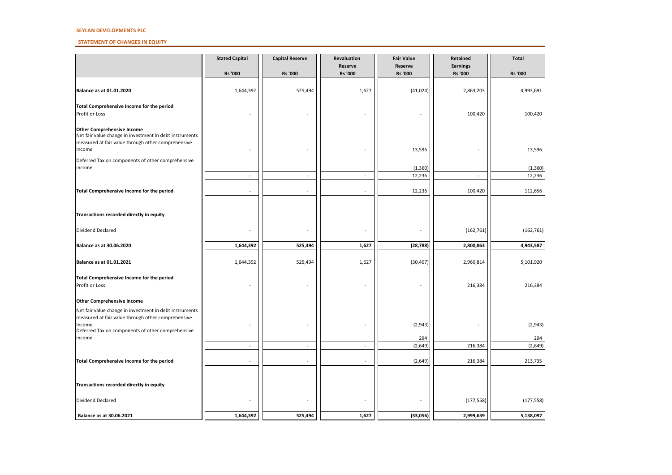#### **STATEMENT OF CHANGES IN EQUITY**

|                                                                                                                                                                              | <b>Stated Capital</b>    | <b>Capital Reserve</b>   | Revaluation               | <b>Fair Value</b>  | Retained                          | <b>Total</b>   |
|------------------------------------------------------------------------------------------------------------------------------------------------------------------------------|--------------------------|--------------------------|---------------------------|--------------------|-----------------------------------|----------------|
|                                                                                                                                                                              | Rs '000                  | <b>Rs '000</b>           | Reserve<br><b>Rs '000</b> | Reserve<br>Rs '000 | <b>Earnings</b><br><b>Rs</b> '000 | <b>Rs '000</b> |
| Balance as at 01.01.2020                                                                                                                                                     | 1,644,392                | 525,494                  | 1,627                     | (41, 024)          | 2,863,203                         | 4,993,691      |
| Total Comprehensive Income for the period<br>Profit or Loss                                                                                                                  |                          |                          | L,                        |                    | 100,420                           | 100,420        |
| <b>Other Comprehensive Income</b><br>Net fair value change in investment in debt instruments<br>measured at fair value through other comprehensive<br>Income                 |                          |                          |                           | 13,596             |                                   | 13,596         |
| Deferred Tax on components of other comprehensive<br>income                                                                                                                  |                          |                          |                           | (1, 360)           |                                   | (1, 360)       |
|                                                                                                                                                                              | $\overline{\phantom{a}}$ | $\sim$                   | $\blacksquare$            | 12,236             | $\sim$                            | 12,236         |
| Total Comprehensive Income for the period                                                                                                                                    | ÷.                       |                          | $\sim$                    | 12,236             | 100,420                           | 112,656        |
| Transactions recorded directly in equity                                                                                                                                     |                          |                          |                           |                    |                                   |                |
| Dividend Declared                                                                                                                                                            |                          |                          | ÷,                        |                    | (162, 761)                        | (162, 761)     |
| <b>Balance as at 30.06.2020</b>                                                                                                                                              | 1,644,392                | 525,494                  | 1,627                     | (28, 788)          | 2,800,863                         | 4,943,587      |
| Balance as at 01.01.2021                                                                                                                                                     | 1,644,392                | 525,494                  | 1,627                     | (30, 407)          | 2,960,814                         | 5,101,920      |
| Total Comprehensive Income for the period<br>Profit or Loss                                                                                                                  |                          |                          |                           |                    | 216,384                           | 216,384        |
| <b>Other Comprehensive Income</b>                                                                                                                                            |                          |                          |                           |                    |                                   |                |
| Net fair value change in investment in debt instruments<br>measured at fair value through other comprehensive<br>Income<br>Deferred Tax on components of other comprehensive |                          |                          |                           | (2,943)            |                                   | (2,943)        |
| income                                                                                                                                                                       |                          |                          |                           | 294                |                                   | 294            |
|                                                                                                                                                                              | $\overline{a}$           | $\overline{\phantom{a}}$ | $\sim$                    | (2,649)            | 216,384                           | (2,649)        |
| Total Comprehensive Income for the period                                                                                                                                    | $\overline{a}$           |                          | $\sim$                    | (2,649)            | 216,384                           | 213,735        |
| Transactions recorded directly in equity                                                                                                                                     |                          |                          |                           |                    |                                   |                |
| Dividend Declared                                                                                                                                                            |                          |                          |                           |                    | (177, 558)                        | (177, 558)     |
| Balance as at 30.06.2021                                                                                                                                                     | 1,644,392                | 525,494                  | 1,627                     | (33,056)           | 2,999,639                         | 5,138,097      |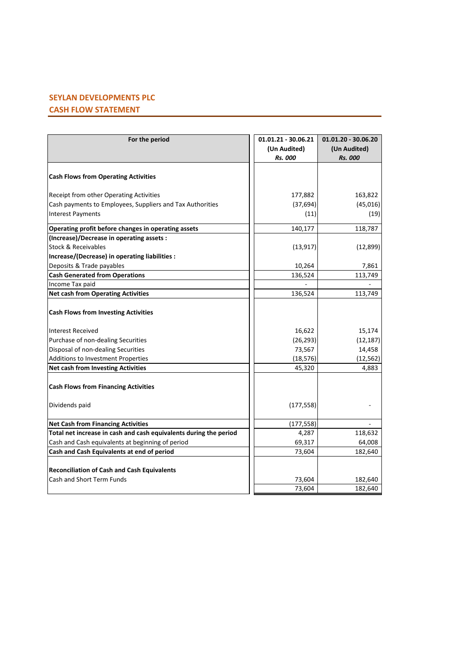# **SEYLAN DEVELOPMENTS PLC CASH FLOW STATEMENT**

| For the period                                                                        | 01.01.21 - 30.06.21<br>(Un Audited)<br><b>Rs. 000</b> | $01.01.20 - 30.06.20$<br>(Un Audited)<br><b>Rs. 000</b> |
|---------------------------------------------------------------------------------------|-------------------------------------------------------|---------------------------------------------------------|
| <b>Cash Flows from Operating Activities</b>                                           |                                                       |                                                         |
| Receipt from other Operating Activities                                               | 177,882                                               | 163,822                                                 |
| Cash payments to Employees, Suppliers and Tax Authorities<br><b>Interest Payments</b> | (37, 694)<br>(11)                                     | (45,016)<br>(19)                                        |
| Operating profit before changes in operating assets                                   | 140,177                                               | 118,787                                                 |
| (Increase)/Decrease in operating assets :                                             |                                                       |                                                         |
| <b>Stock &amp; Receivables</b>                                                        | (13, 917)                                             | (12,899)                                                |
| Increase/(Decrease) in operating liabilities :                                        |                                                       |                                                         |
| Deposits & Trade payables                                                             | 10,264                                                | 7,861                                                   |
| <b>Cash Generated from Operations</b>                                                 | 136,524                                               | 113,749                                                 |
| Income Tax paid                                                                       |                                                       |                                                         |
| <b>Net cash from Operating Activities</b>                                             | 136,524                                               | 113,749                                                 |
| <b>Cash Flows from Investing Activities</b>                                           |                                                       |                                                         |
| <b>Interest Received</b>                                                              | 16,622                                                | 15,174                                                  |
| Purchase of non-dealing Securities                                                    | (26, 293)                                             | (12, 187)                                               |
| Disposal of non-dealing Securities                                                    | 73,567                                                | 14,458                                                  |
| Additions to Investment Properties                                                    | (18, 576)                                             | (12, 562)                                               |
| <b>Net cash from Investing Activities</b>                                             | 45,320                                                | 4,883                                                   |
| <b>Cash Flows from Financing Activities</b>                                           |                                                       |                                                         |
| Dividends paid                                                                        | (177, 558)                                            |                                                         |
| <b>Net Cash from Financing Activities</b>                                             | (177, 558)                                            |                                                         |
| Total net increase in cash and cash equivalents during the period                     | 4,287                                                 | 118,632                                                 |
| Cash and Cash equivalents at beginning of period                                      | 69,317                                                | 64,008                                                  |
| Cash and Cash Equivalents at end of period                                            | 73,604                                                | 182,640                                                 |
| <b>Reconciliation of Cash and Cash Equivalents</b>                                    |                                                       |                                                         |
| <b>Cash and Short Term Funds</b>                                                      | 73,604                                                | 182,640                                                 |
|                                                                                       | 73,604                                                | 182,640                                                 |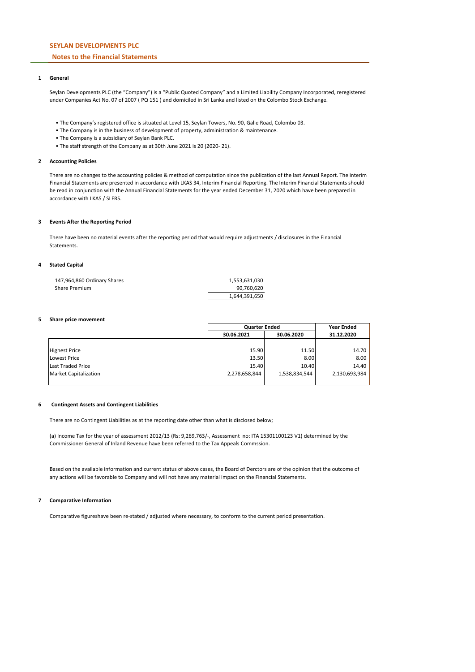## **Notes to the Financial Statements**

#### **1 General**

Seylan Developments PLC (the "Company") is a "Public Quoted Company" and a Limited Liability Company Incorporated, reregistered under Companies Act No. 07 of 2007 ( PQ 151 ) and domiciled in Sri Lanka and listed on the Colombo Stock Exchange.

- The Company's registered office is situated at Level 15, Seylan Towers, No. 90, Galle Road, Colombo 03.
- The Company is in the business of development of property, administration & maintenance.
- The Company is a subsidiary of Seylan Bank PLC.
- The staff strength of the Company as at 30th June 2021 is 20 (2020- 21).

#### **2 Accounting Policies**

There are no changes to the accounting policies & method of computation since the publication of the last Annual Report. The interim Financial Statements are presented in accordance with LKAS 34, Interim Financial Reporting. The Interim Financial Statements should be read in conjunction with the Annual Financial Statements for the year ended December 31, 2020 which have been prepared in accordance with LKAS / SLFRS.

#### **3 Events After the Reporting Period**

There have been no material events after the reporting period that would require adjustments / disclosures in the Financial **Statements** 

#### **4 Stated Capital**

| 147,964,860 Ordinary Shares | 1,553,631,030 |
|-----------------------------|---------------|
| Share Premium               | 90.760.620    |
|                             | 1,644,391,650 |

#### **5 Share price movement**

|                              |               | <b>Quarter Ended</b> |               |  |
|------------------------------|---------------|----------------------|---------------|--|
|                              | 30.06.2021    | 30.06.2020           | 31.12.2020    |  |
|                              |               |                      |               |  |
| <b>Highest Price</b>         | 15.90         | 11.50                | 14.70         |  |
| Lowest Price                 | 13.50         | 8.00                 | 8.00          |  |
| <b>Last Traded Price</b>     | 15.40         | 10.40                | 14.40         |  |
| <b>Market Capitalization</b> | 2,278,658,844 | 1,538,834,544        | 2,130,693,984 |  |
|                              |               |                      |               |  |

#### **6 Contingent Assets and Contingent Liabilities**

There are no Contingent Liabilities as at the reporting date other than what is disclosed below;

(a) Income Tax for the year of assessment 2012/13 (Rs: 9,269,763/-, Assessment no: ITA 15301100123 V1) determined by the Commissioner General of Inland Revenue have been referred to the Tax Appeals Commssion.

Based on the available information and current status of above cases, the Board of Derctors are of the opinion that the outcome of any actions will be favorable to Company and will not have any material impact on the Financial Statements.

#### **7 Comparative Information**

Comparative figureshave been re-stated / adjusted where necessary, to conform to the current period presentation.